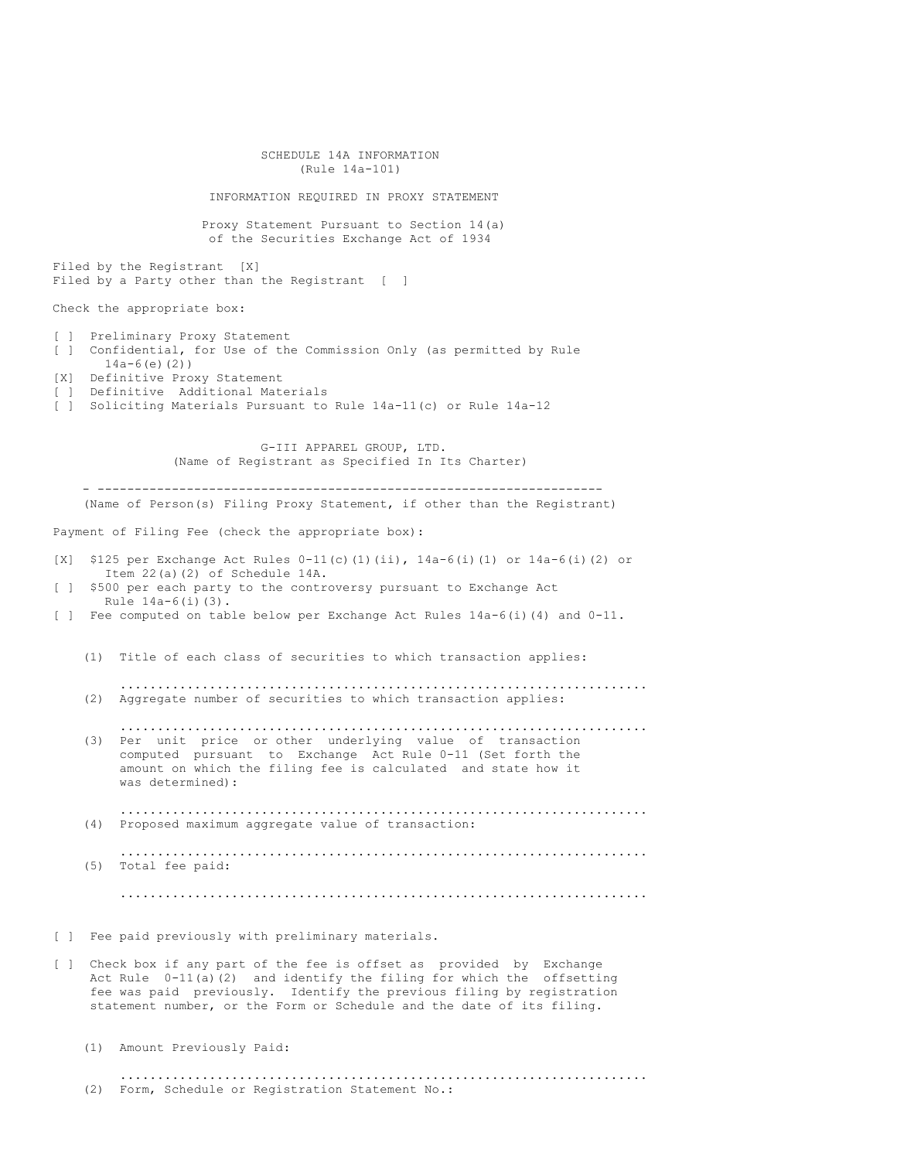| SCHEDULE 14A INFORMATION<br>(Rule 14a-101)                                                                                                                                                                                                                                                                                          |  |  |  |  |  |  |  |
|-------------------------------------------------------------------------------------------------------------------------------------------------------------------------------------------------------------------------------------------------------------------------------------------------------------------------------------|--|--|--|--|--|--|--|
| INFORMATION REQUIRED IN PROXY STATEMENT                                                                                                                                                                                                                                                                                             |  |  |  |  |  |  |  |
| Proxy Statement Pursuant to Section 14(a)<br>of the Securities Exchange Act of 1934                                                                                                                                                                                                                                                 |  |  |  |  |  |  |  |
| Filed by the Registrant [X]<br>Filed by a Party other than the Registrant [ ]                                                                                                                                                                                                                                                       |  |  |  |  |  |  |  |
| Check the appropriate box:                                                                                                                                                                                                                                                                                                          |  |  |  |  |  |  |  |
| Preliminary Proxy Statement<br>$\begin{bmatrix} 1 & 1 \end{bmatrix}$<br>Confidential, for Use of the Commission Only (as permitted by Rule<br>$\begin{bmatrix} 1 & 1 \end{bmatrix}$<br>$14a-6(e)$ (2))<br>[X] Definitive Proxy Statement<br>[ ] Definitive Additional Materials                                                     |  |  |  |  |  |  |  |
| Soliciting Materials Pursuant to Rule 14a-11(c) or Rule 14a-12<br>$\begin{array}{ccc} \end{array}$                                                                                                                                                                                                                                  |  |  |  |  |  |  |  |
| G-III APPAREL GROUP, LTD.<br>(Name of Registrant as Specified In Its Charter)                                                                                                                                                                                                                                                       |  |  |  |  |  |  |  |
| (Name of Person(s) Filing Proxy Statement, if other than the Registrant)                                                                                                                                                                                                                                                            |  |  |  |  |  |  |  |
| Payment of Filing Fee (check the appropriate box):                                                                                                                                                                                                                                                                                  |  |  |  |  |  |  |  |
| \$125 per Exchange Act Rules $0-11(c)$ (1) (ii), $14a-6(i)$ (1) or $14a-6(i)$ (2) or<br>[X]<br>Item 22(a)(2) of Schedule 14A.                                                                                                                                                                                                       |  |  |  |  |  |  |  |
| \$500 per each party to the controversy pursuant to Exchange Act<br>$\begin{bmatrix} 1 & 1 \end{bmatrix}$<br>Rule $14a-6(i)(3)$ .                                                                                                                                                                                                   |  |  |  |  |  |  |  |
| [ ] Fee computed on table below per Exchange Act Rules 14a-6(i)(4) and 0-11.                                                                                                                                                                                                                                                        |  |  |  |  |  |  |  |
| (1) Title of each class of securities to which transaction applies:                                                                                                                                                                                                                                                                 |  |  |  |  |  |  |  |
| .<br>(2) Aggregate number of securities to which transaction applies:                                                                                                                                                                                                                                                               |  |  |  |  |  |  |  |
| (3) Per unit price or other underlying value of transaction<br>computed pursuant to Exchange Act Rule 0-11 (Set forth the<br>amount on which the filing fee is calculated and state how it<br>was determined):                                                                                                                      |  |  |  |  |  |  |  |
| (4)<br>Proposed maximum aggregate value of transaction:                                                                                                                                                                                                                                                                             |  |  |  |  |  |  |  |
| Total fee paid:<br>(5)                                                                                                                                                                                                                                                                                                              |  |  |  |  |  |  |  |
|                                                                                                                                                                                                                                                                                                                                     |  |  |  |  |  |  |  |
| Fee paid previously with preliminary materials.<br>$\begin{bmatrix} 1 \end{bmatrix}$                                                                                                                                                                                                                                                |  |  |  |  |  |  |  |
| Check box if any part of the fee is offset as provided by Exchange<br>$\begin{bmatrix} 1 \end{bmatrix}$<br>Act Rule $0-11(a)(2)$ and identify the filing for which the offsetting<br>fee was paid previously. Identify the previous filing by registration<br>statement number, or the Form or Schedule and the date of its filing. |  |  |  |  |  |  |  |
| (1) Amount Previously Paid:                                                                                                                                                                                                                                                                                                         |  |  |  |  |  |  |  |
| (2)<br>Form, Schedule or Registration Statement No.:                                                                                                                                                                                                                                                                                |  |  |  |  |  |  |  |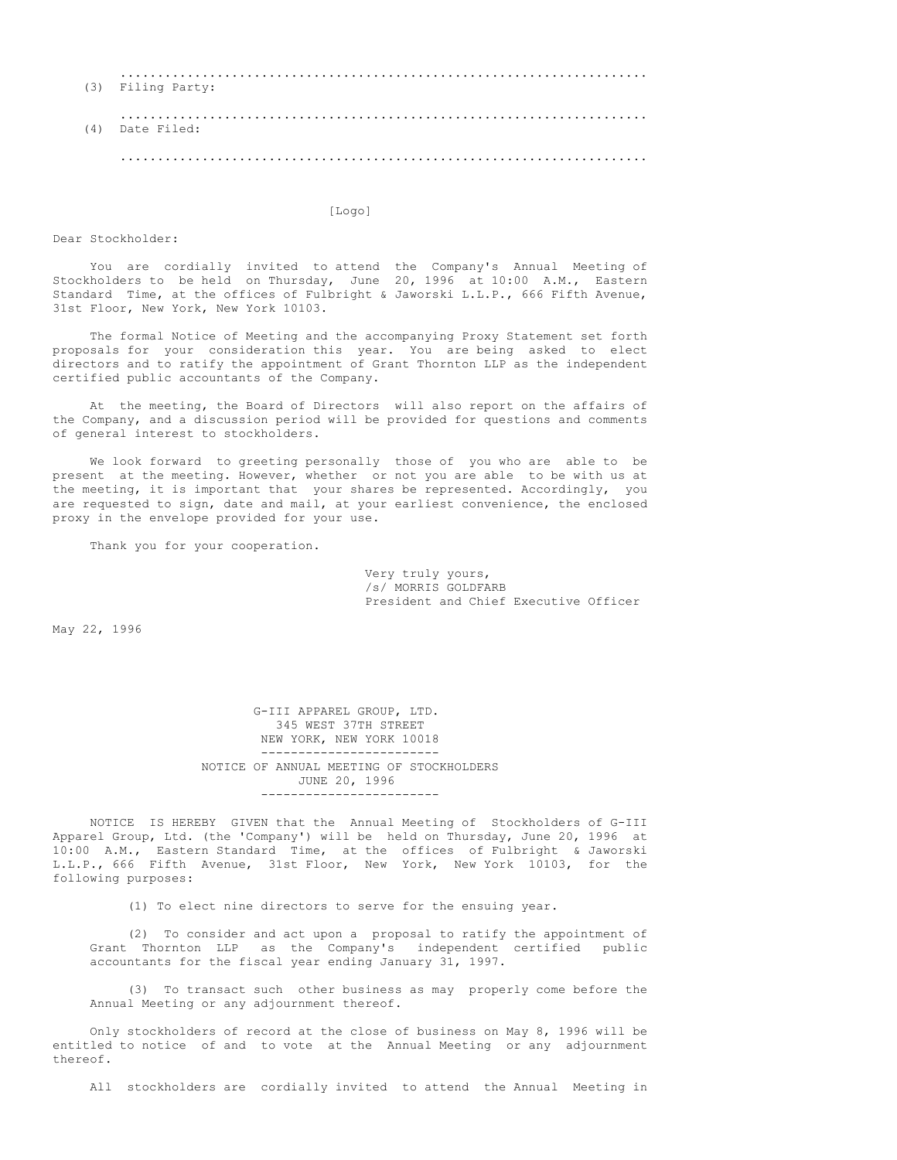| (3) | .<br>Filing Party: |
|-----|--------------------|
| (4) | Date Filed:        |
|     | . .                |

[Logo]

Dear Stockholder:

You are cordially invited to attend the Company's Annual Meeting of Stockholders to be held on Thursday, June 20, 1996 at 10:00 A.M., Eastern Standard Time, at the offices of Fulbright & Jaworski L.L.P., 666 Fifth Avenue, 31st Floor, New York, New York 10103.

The formal Notice of Meeting and the accompanying Proxy Statement set forth proposals for your consideration this year. You are being asked to elect directors and to ratify the appointment of Grant Thornton LLP as the independent certified public accountants of the Company.

At the meeting, the Board of Directors will also report on the affairs of the Company, and a discussion period will be provided for questions and comments of general interest to stockholders.

We look forward to greeting personally those of you who are able to be present at the meeting. However, whether or not you are able to be with us at the meeting, it is important that your shares be represented. Accordingly, you are requested to sign, date and mail, at your earliest convenience, the enclosed proxy in the envelope provided for your use.

Thank you for your cooperation.

Very truly yours, /s/ MORRIS GOLDFARB President and Chief Executive Officer

May 22, 1996

G-III APPAREL GROUP, LTD. 345 WEST 37TH STREET NEW YORK, NEW YORK 10018 ------------------------ NOTICE OF ANNUAL MEETING OF STOCKHOLDERS JUNE 20, 1996 ------------------------

NOTICE IS HEREBY GIVEN that the Annual Meeting of Stockholders of G-III Apparel Group, Ltd. (the 'Company') will be held on Thursday, June 20, 1996 at 10:00 A.M., Eastern Standard Time, at the offices of Fulbright & Jaworski L.L.P., 666 Fifth Avenue, 31st Floor, New York, New York 10103, for the following purposes:

(1) To elect nine directors to serve for the ensuing year.

(2) To consider and act upon a proposal to ratify the appointment of Grant Thornton LLP as the Company's independent certified public accountants for the fiscal year ending January 31, 1997.

(3) To transact such other business as may properly come before the Annual Meeting or any adjournment thereof.

Only stockholders of record at the close of business on May 8, 1996 will be entitled to notice of and to vote at the Annual Meeting or any adjournment thereof.

All stockholders are cordially invited to attend the Annual Meeting in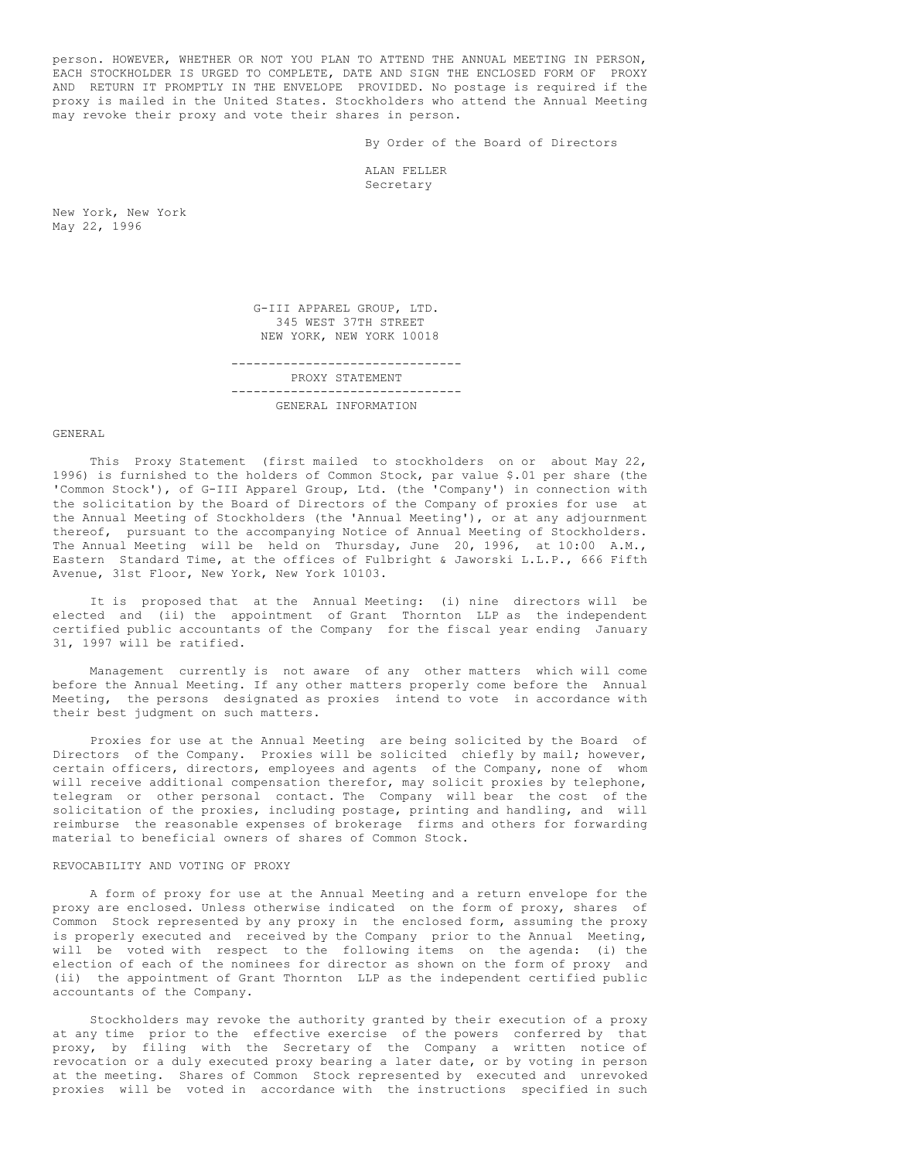person. HOWEVER, WHETHER OR NOT YOU PLAN TO ATTEND THE ANNUAL MEETING IN PERSON, EACH STOCKHOLDER IS URGED TO COMPLETE, DATE AND SIGN THE ENCLOSED FORM OF PROXY AND RETURN IT PROMPTLY IN THE ENVELOPE PROVIDED. No postage is required if the proxy is mailed in the United States. Stockholders who attend the Annual Meeting may revoke their proxy and vote their shares in person.

By Order of the Board of Directors

ALAN FELLER Secretary

New York, New York May 22, 1996

> G-III APPAREL GROUP, LTD. 345 WEST 37TH STREET NEW YORK, NEW YORK 10018

------------------------------- PROXY STATEMENT ------------------------------- GENERAL INFORMATION

GENERAL

This Proxy Statement (first mailed to stockholders on or about May 22, 1996) is furnished to the holders of Common Stock, par value \$.01 per share (the 'Common Stock'), of G-III Apparel Group, Ltd. (the 'Company') in connection with the solicitation by the Board of Directors of the Company of proxies for use at the Annual Meeting of Stockholders (the 'Annual Meeting'), or at any adjournment thereof, pursuant to the accompanying Notice of Annual Meeting of Stockholders. The Annual Meeting will be held on Thursday, June 20, 1996, at 10:00 A.M., Eastern Standard Time, at the offices of Fulbright & Jaworski L.L.P., 666 Fifth Avenue, 31st Floor, New York, New York 10103.

It is proposed that at the Annual Meeting: (i) nine directors will be elected and (ii) the appointment of Grant Thornton LLP as the independent certified public accountants of the Company for the fiscal year ending January 31, 1997 will be ratified.

Management currently is not aware of any other matters which will come before the Annual Meeting. If any other matters properly come before the Annual Meeting, the persons designated as proxies intend to vote in accordance with their best judgment on such matters.

Proxies for use at the Annual Meeting are being solicited by the Board of Directors of the Company. Proxies will be solicited chiefly by mail; however, certain officers, directors, employees and agents of the Company, none of whom will receive additional compensation therefor, may solicit proxies by telephone, telegram or other personal contact. The Company will bear the cost of the solicitation of the proxies, including postage, printing and handling, and will reimburse the reasonable expenses of brokerage firms and others for forwarding material to beneficial owners of shares of Common Stock.

### REVOCABILITY AND VOTING OF PROXY

A form of proxy for use at the Annual Meeting and a return envelope for the proxy are enclosed. Unless otherwise indicated on the form of proxy, shares of Common Stock represented by any proxy in the enclosed form, assuming the proxy is properly executed and received by the Company prior to the Annual Meeting, will be voted with respect to the following items on the agenda: (i) the election of each of the nominees for director as shown on the form of proxy and (ii) the appointment of Grant Thornton LLP as the independent certified public accountants of the Company.

Stockholders may revoke the authority granted by their execution of a proxy at any time prior to the effective exercise of the powers conferred by that proxy, by filing with the Secretary of the Company a written notice of revocation or a duly executed proxy bearing a later date, or by voting in person at the meeting. Shares of Common Stock represented by executed and unrevoked proxies will be voted in accordance with the instructions specified in such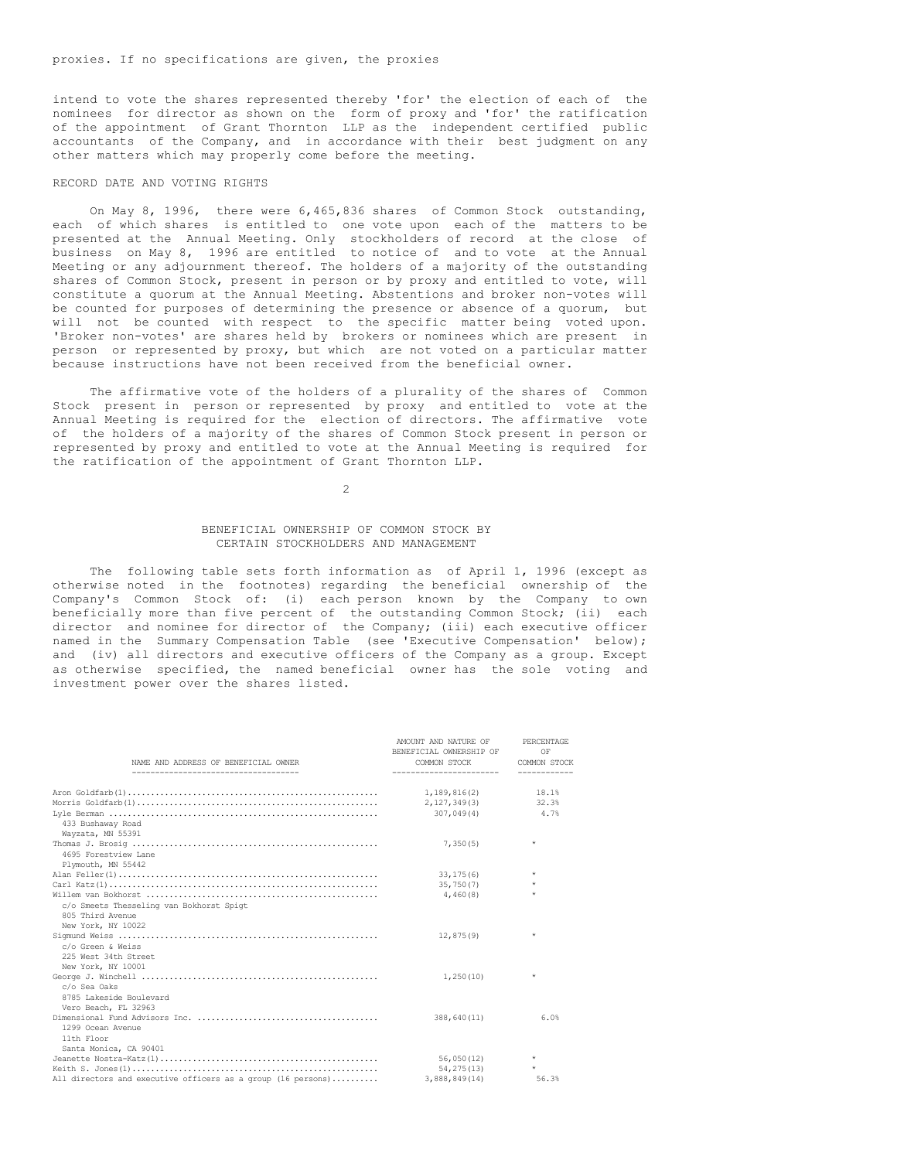intend to vote the shares represented thereby 'for' the election of each of the nominees for director as shown on the form of proxy and 'for' the ratification of the appointment of Grant Thornton LLP as the independent certified public accountants of the Company, and in accordance with their best judgment on any other matters which may properly come before the meeting.

## RECORD DATE AND VOTING RIGHTS

On May 8, 1996, there were 6,465,836 shares of Common Stock outstanding, each of which shares is entitled to one vote upon each of the matters to be presented at the Annual Meeting. Only stockholders of record at the close of business on May 8, 1996 are entitled to notice of and to vote at the Annual Meeting or any adjournment thereof. The holders of a majority of the outstanding shares of Common Stock, present in person or by proxy and entitled to vote, will constitute a quorum at the Annual Meeting. Abstentions and broker non-votes will be counted for purposes of determining the presence or absence of a quorum, but will not be counted with respect to the specific matter being voted upon. 'Broker non-votes' are shares held by brokers or nominees which are present in person or represented by proxy, but which are not voted on a particular matter because instructions have not been received from the beneficial owner.

The affirmative vote of the holders of a plurality of the shares of Common Stock present in person or represented by proxy and entitled to vote at the Annual Meeting is required for the election of directors. The affirmative vote of the holders of a majority of the shares of Common Stock present in person or represented by proxy and entitled to vote at the Annual Meeting is required for the ratification of the appointment of Grant Thornton LLP.

 $\mathcal{L}$ 

## BENEFICIAL OWNERSHIP OF COMMON STOCK BY CERTAIN STOCKHOLDERS AND MANAGEMENT

The following table sets forth information as of April 1, 1996 (except as otherwise noted in the footnotes) regarding the beneficial ownership of the Company's Common Stock of: (i) each person known by the Company to own beneficially more than five percent of the outstanding Common Stock; (ii) each director and nominee for director of the Company; (iii) each executive officer named in the Summary Compensation Table (see 'Executive Compensation' below); and (iv) all directors and executive officers of the Company as a group. Except as otherwise specified, the named beneficial owner has the sole voting and investment power over the shares listed.

| NAME AND ADDRESS OF BENEFICIAL OWNER                         | AMOUNT AND NATURE OF<br>BENEFICIAL OWNERSHIP OF<br>COMMON STOCK | PERCENTAGE<br>OF<br>COMMON STOCK |
|--------------------------------------------------------------|-----------------------------------------------------------------|----------------------------------|
| -------------------------------------                        | ------------------------                                        | ------------                     |
|                                                              | 1,189,816(2)                                                    | 18.1%                            |
|                                                              | 2, 127, 349(3) 32.3%                                            |                                  |
|                                                              | 307,049(4)                                                      | 4.7%                             |
| 433 Bushaway Road                                            |                                                                 |                                  |
| Wayzata, MN 55391                                            |                                                                 |                                  |
|                                                              | 7,350(5)                                                        | $\star$                          |
| 4695 Forestview Lane                                         |                                                                 |                                  |
| Plymouth, MN 55442                                           |                                                                 |                                  |
|                                                              | 33, 175(6)                                                      | $\star$                          |
|                                                              | 35,750(7)                                                       | $\star$                          |
|                                                              | 4,460(8)                                                        | $\star$                          |
| c/o Smeets Thesseling van Bokhorst Spigt                     |                                                                 |                                  |
| 805 Third Avenue                                             |                                                                 |                                  |
| New York, NY 10022                                           |                                                                 |                                  |
|                                                              | 12,875(9)                                                       | $\star$                          |
| c/o Green & Weiss                                            |                                                                 |                                  |
| 225 West 34th Street                                         |                                                                 |                                  |
| New York, NY 10001                                           |                                                                 |                                  |
|                                                              | 1,250(10)                                                       | $\star$                          |
| c/o Sea Oaks                                                 |                                                                 |                                  |
| 8785 Lakeside Boulevard                                      |                                                                 |                                  |
| Vero Beach, FL 32963                                         |                                                                 |                                  |
|                                                              | 388,640(11)                                                     | 6.0%                             |
| 1299 Ocean Avenue                                            |                                                                 |                                  |
| 11th Floor                                                   |                                                                 |                                  |
| Santa Monica, CA 90401                                       |                                                                 |                                  |
|                                                              | 56,050(12)                                                      | $\star$                          |
|                                                              | 54, 275 (13)                                                    | $\star$                          |
| All directors and executive officers as a group (16 persons) | 3,888,849(14)                                                   | 56.3%                            |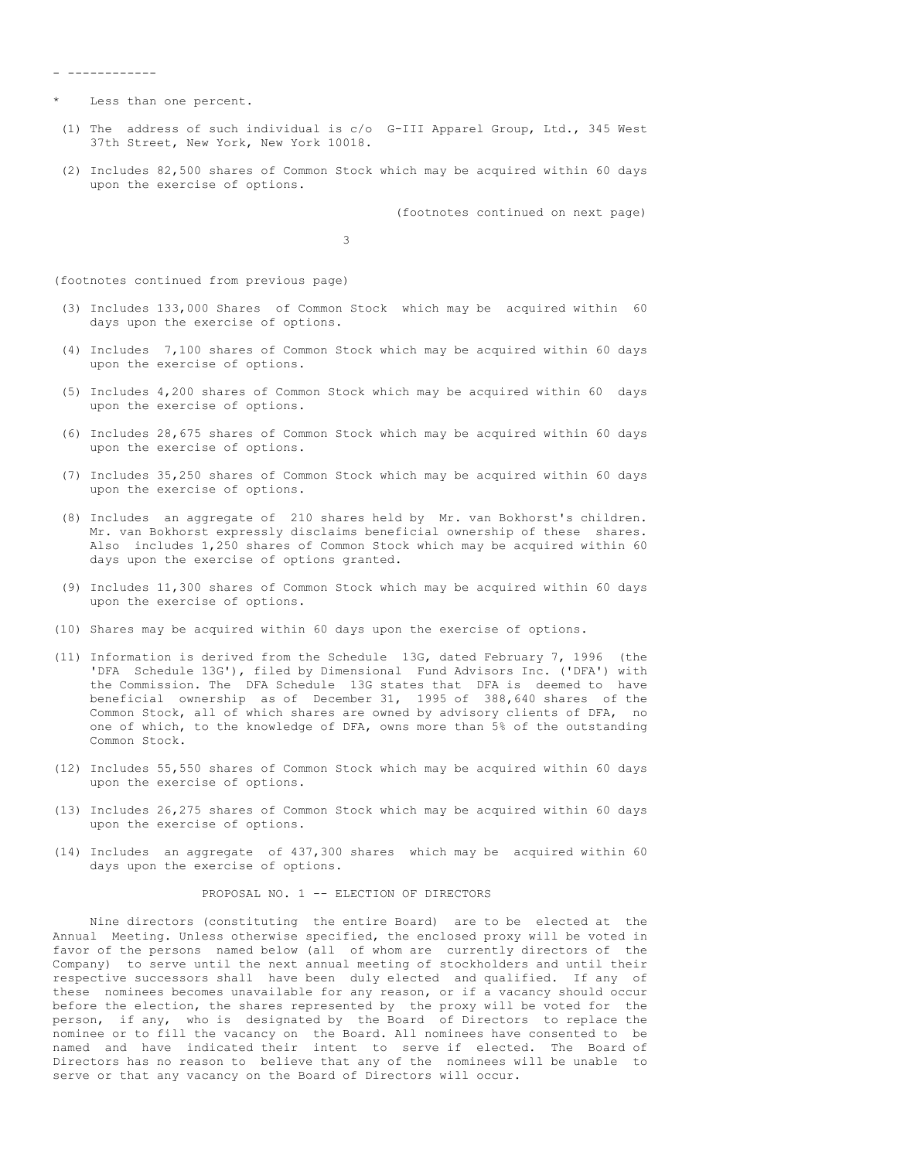- ------------

- Less than one percent.
- (1) The address of such individual is c/o G-III Apparel Group, Ltd., 345 West 37th Street, New York, New York 10018.
- (2) Includes 82,500 shares of Common Stock which may be acquired within 60 days upon the exercise of options.

(footnotes continued on next page)

3

(footnotes continued from previous page)

- (3) Includes 133,000 Shares of Common Stock which may be acquired within 60 days upon the exercise of options.
- (4) Includes 7,100 shares of Common Stock which may be acquired within 60 days upon the exercise of options.
- (5) Includes 4,200 shares of Common Stock which may be acquired within 60 days upon the exercise of options.
- (6) Includes 28,675 shares of Common Stock which may be acquired within 60 days upon the exercise of options.
- (7) Includes 35,250 shares of Common Stock which may be acquired within 60 days upon the exercise of options.
- (8) Includes an aggregate of 210 shares held by Mr. van Bokhorst's children. Mr. van Bokhorst expressly disclaims beneficial ownership of these shares. Also includes 1,250 shares of Common Stock which may be acquired within 60 days upon the exercise of options granted.
- (9) Includes 11,300 shares of Common Stock which may be acquired within 60 days upon the exercise of options.
- (10) Shares may be acquired within 60 days upon the exercise of options.
- (11) Information is derived from the Schedule 13G, dated February 7, 1996 (the 'DFA Schedule 13G'), filed by Dimensional Fund Advisors Inc. ('DFA') with the Commission. The DFA Schedule 13G states that DFA is deemed to have beneficial ownership as of December 31, 1995 of 388,640 shares of the Common Stock, all of which shares are owned by advisory clients of DFA, no one of which, to the knowledge of DFA, owns more than 5% of the outstanding Common Stock.
- (12) Includes 55,550 shares of Common Stock which may be acquired within 60 days upon the exercise of options.
- (13) Includes 26,275 shares of Common Stock which may be acquired within 60 days upon the exercise of options.
- (14) Includes an aggregate of 437,300 shares which may be acquired within 60 days upon the exercise of options.

PROPOSAL NO. 1 -- ELECTION OF DIRECTORS

Nine directors (constituting the entire Board) are to be elected at the Annual Meeting. Unless otherwise specified, the enclosed proxy will be voted in favor of the persons named below (all of whom are currently directors of the Company) to serve until the next annual meeting of stockholders and until their respective successors shall have been duly elected and qualified. If any of these nominees becomes unavailable for any reason, or if a vacancy should occur before the election, the shares represented by the proxy will be voted for the person, if any, who is designated by the Board of Directors to replace the nominee or to fill the vacancy on the Board. All nominees have consented to be named and have indicated their intent to serve if elected. The Board of Directors has no reason to believe that any of the nominees will be unable to serve or that any vacancy on the Board of Directors will occur.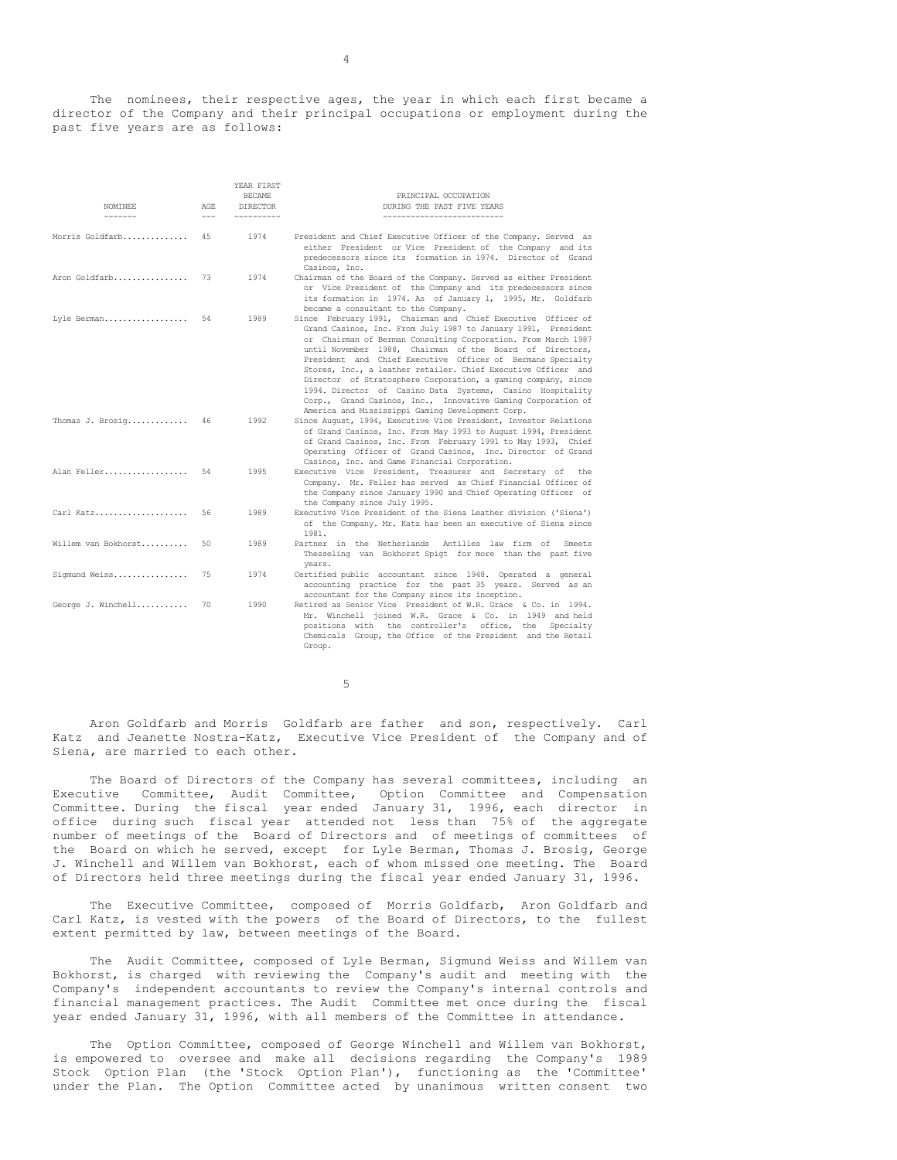The nominees, their respective ages, the year in which each first became a director of the Company and their principal occupations or employment during the past five years are as follows:

| NOMINEE<br>-------  | AGE<br>$---$ | YEAR FIRST<br><b>BECAME</b><br><b>DIRECTOR</b><br>----------- | PRINCIPAL OCCUPATION<br>DURING THE PAST FIVE YEARS<br>---------------------------                                                                                                                                                                                                                                                                                                                                                                                                                                                                                                                                                           |
|---------------------|--------------|---------------------------------------------------------------|---------------------------------------------------------------------------------------------------------------------------------------------------------------------------------------------------------------------------------------------------------------------------------------------------------------------------------------------------------------------------------------------------------------------------------------------------------------------------------------------------------------------------------------------------------------------------------------------------------------------------------------------|
| Morris Goldfarb     | 4.5          | 1974                                                          | President and Chief Executive Officer of the Company. Served as<br>either President or Vice President of the Company and its<br>predecessors since its formation in 1974. Director of Grand<br>Casinos, Inc.                                                                                                                                                                                                                                                                                                                                                                                                                                |
| Aron Goldfarb       | 73           | 1974                                                          | Chairman of the Board of the Company. Served as either President<br>or Vice President of the Company and its predecessors since<br>its formation in 1974. As of January 1, 1995, Mr. Goldfarb<br>became a consultant to the Company.                                                                                                                                                                                                                                                                                                                                                                                                        |
| Lyle Berman         | 54           | 1989                                                          | Since February 1991, Chairman and Chief Executive Officer of<br>Grand Casinos, Inc. From July 1987 to January 1991, President<br>or Chairman of Berman Consulting Corporation. From March 1987<br>until November 1988, Chairman of the Board of Directors,<br>President and Chief Executive Officer of Bermans Specialty<br>Stores, Inc., a leather retailer. Chief Executive Officer and<br>Director of Stratosphere Corporation, a gaming company, since<br>1994. Director of Casino Data Systems, Casino Hospitality<br>Corp., Grand Casinos, Inc., Innovative Gaming Corporation of<br>America and Mississippi Gaming Development Corp. |
| Thomas J. Brosig    | 46           | 1992                                                          | Since August, 1994, Executive Vice President, Investor Relations<br>of Grand Casinos, Inc. From May 1993 to August 1994, President<br>of Grand Casinos, Inc. From February 1991 to May 1993, Chief<br>Operating Officer of Grand Casinos, Inc. Director of Grand<br>Casinos, Inc. and Game Financial Corporation.                                                                                                                                                                                                                                                                                                                           |
| Alan Feller         | 54           | 1995                                                          | Executive Vice President, Treasurer and Secretary of the<br>Company. Mr. Feller has served as Chief Financial Officer of<br>the Company since January 1990 and Chief Operating Officer of<br>the Company since July 1995.                                                                                                                                                                                                                                                                                                                                                                                                                   |
| Carl Katz           | 56           | 1989                                                          | Executive Vice President of the Siena Leather division ('Siena')<br>of the Company. Mr. Katz has been an executive of Siena since<br>1981.                                                                                                                                                                                                                                                                                                                                                                                                                                                                                                  |
| Willem van Bokhorst | 50           | 1989                                                          | Partner in the Netherlands Antilles law firm of<br>Smeets<br>Thesseling van Bokhorst Spigt for more than the past five<br>years.                                                                                                                                                                                                                                                                                                                                                                                                                                                                                                            |
| Sigmund Weiss       | 75           | 1974                                                          | Certified public accountant since 1948. Operated a general<br>accounting practice for the past 35 years. Served as an<br>accountant for the Company since its inception.                                                                                                                                                                                                                                                                                                                                                                                                                                                                    |
| George J. Winchell  | 70           | 1990                                                          | Retired as Senior Vice President of W.R. Grace & Co. in 1994.<br>Mr. Winchell joined W.R. Grace & Co. in 1949 and held<br>positions with the controller's office, the<br>Specialty<br>Chemicals Group, the Office of the President and the Retail<br>Group.                                                                                                                                                                                                                                                                                                                                                                                 |

5

Aron Goldfarb and Morris Goldfarb are father and son, respectively. Carl Katz and Jeanette Nostra-Katz, Executive Vice President of the Company and of Siena, are married to each other.

The Board of Directors of the Company has several committees, including an Executive Committee, Audit Committee, Option Committee and Compensation Committee. During the fiscal year ended January 31, 1996, each director in office during such fiscal year attended not less than 75% of the aggregate number of meetings of the Board of Directors and of meetings of committees of the Board on which he served, except for Lyle Berman, Thomas J. Brosig, George J. Winchell and Willem van Bokhorst, each of whom missed one meeting. The Board of Directors held three meetings during the fiscal year ended January 31, 1996.

The Executive Committee, composed of Morris Goldfarb, Aron Goldfarb and Carl Katz, is vested with the powers of the Board of Directors, to the fullest extent permitted by law, between meetings of the Board.

The Audit Committee, composed of Lyle Berman, Sigmund Weiss and Willem van Bokhorst, is charged with reviewing the Company's audit and meeting with the Company's independent accountants to review the Company's internal controls and financial management practices. The Audit Committee met once during the fiscal year ended January 31, 1996, with all members of the Committee in attendance.

The Option Committee, composed of George Winchell and Willem van Bokhorst, is empowered to oversee and make all decisions regarding the Company's 1989 Stock Option Plan (the 'Stock Option Plan'), functioning as the 'Committee' under the Plan. The Option Committee acted by unanimous written consent two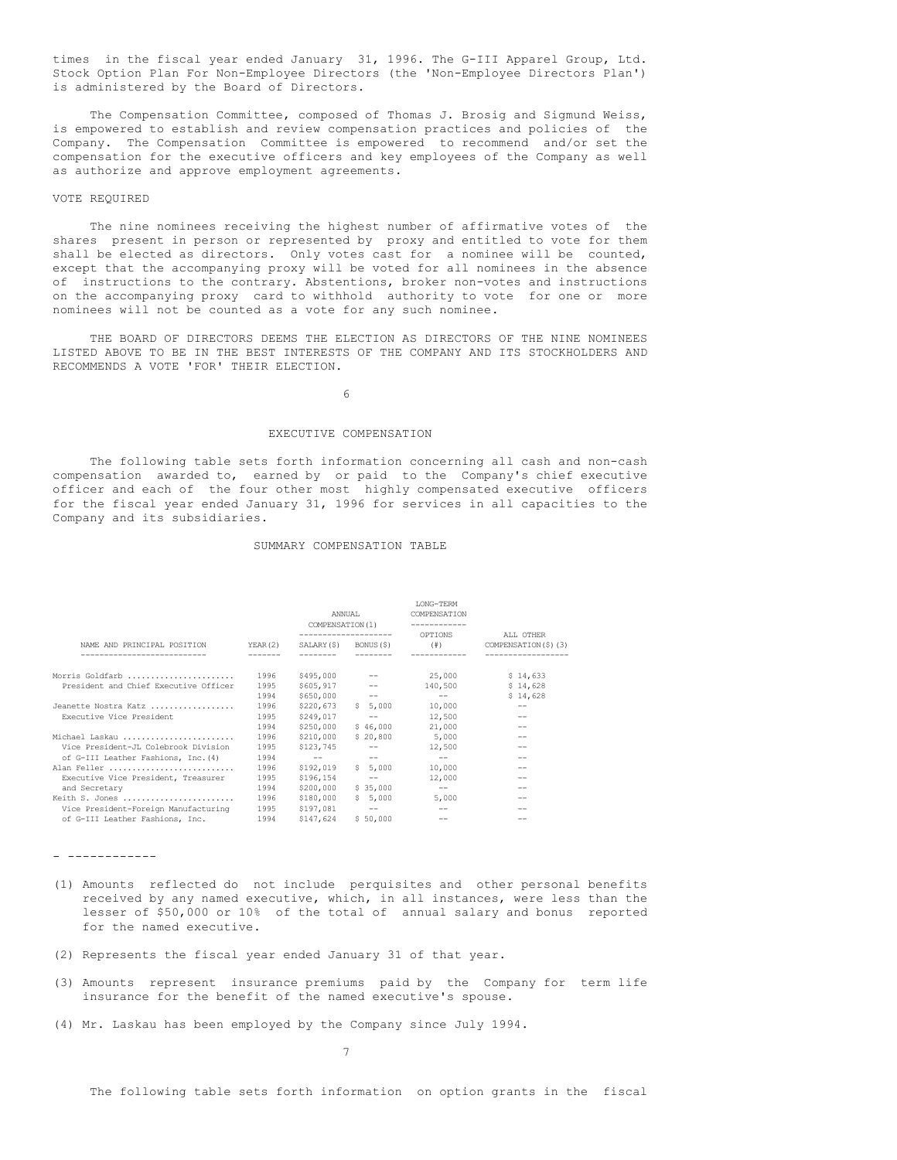times in the fiscal year ended January 31, 1996. The G-III Apparel Group, Ltd. Stock Option Plan For Non-Employee Directors (the 'Non-Employee Directors Plan') is administered by the Board of Directors.

The Compensation Committee, composed of Thomas J. Brosig and Sigmund Weiss, is empowered to establish and review compensation practices and policies of the Company. The Compensation Committee is empowered to recommend and/or set the compensation for the executive officers and key employees of the Company as well as authorize and approve employment agreements.

### VOTE REQUIRED

The nine nominees receiving the highest number of affirmative votes of the shares present in person or represented by proxy and entitled to vote for them shall be elected as directors. Only votes cast for a nominee will be counted, except that the accompanying proxy will be voted for all nominees in the absence of instructions to the contrary. Abstentions, broker non-votes and instructions on the accompanying proxy card to withhold authority to vote for one or more nominees will not be counted as a vote for any such nominee.

THE BOARD OF DIRECTORS DEEMS THE ELECTION AS DIRECTORS OF THE NINE NOMINEES LISTED ABOVE TO BE IN THE BEST INTERESTS OF THE COMPANY AND ITS STOCKHOLDERS AND RECOMMENDS A VOTE 'FOR' THEIR ELECTION.

6

# EXECUTIVE COMPENSATION

The following table sets forth information concerning all cash and non-cash compensation awarded to, earned by or paid to the Company's chief executive officer and each of the four other most highly compensated executive officers for the fiscal year ended January 31, 1996 for services in all capacities to the Company and its subsidiaries.

### SUMMARY COMPENSATION TABLE

|                                                     |         | ANNUAL<br>COMPENSATION (1) |                   | <b>TONG-TERM</b><br>COMPENSATION<br>OPTIONS | ALL OTHER           |  |
|-----------------------------------------------------|---------|----------------------------|-------------------|---------------------------------------------|---------------------|--|
| NAME AND PRINCIPAL POSITION<br>-------------------- | YEAR(2) | SALARY (\$)                | BONUS (\$)        | $(\#)$                                      | COMPENSATION(\$)(3) |  |
| Morris Goldfarb                                     | 1996    | \$495,000                  |                   | 25,000                                      | \$14,633            |  |
| President and Chief Executive Officer               | 1995    | \$605,917                  | $--$              | 140,500                                     | \$14.628            |  |
|                                                     | 1994    | \$650,000                  | $-\,-$            | $- -$                                       | \$14,628            |  |
| Jeanette Nostra Katz                                | 1996    | \$220,673                  | \$5,000           | 10,000                                      | --                  |  |
| Executive Vice President                            | 1995    | \$249,017                  | $-\,-$            | 12,500                                      |                     |  |
|                                                     | 1994    | \$250,000                  | \$46,000          | 21,000                                      |                     |  |
| Michael Laskau                                      | 1996    | \$210,000                  | \$20.800          | 5,000                                       |                     |  |
| Vice President-JL Colebrook Division                | 1995    | \$123,745                  | $-\,-$            | 12,500                                      |                     |  |
| of G-III Leather Fashions, Inc. (4)                 | 1994    | $-\,-$                     | $\qquad \qquad -$ | $\qquad \qquad -$                           |                     |  |
| Alan Feller                                         | 1996    | \$192,019                  | \$5.000           | 10,000                                      |                     |  |
| Executive Vice President, Treasurer                 | 1995    | \$196,154                  | $-\,-$            | 12,000                                      |                     |  |
| and Secretary                                       | 1994    | \$200,000                  | \$35,000          | $\qquad \qquad -$                           |                     |  |
| Keith S. Jones                                      | 1996    | \$180,000                  | \$5.000           | 5,000                                       |                     |  |
| Vice President-Foreign Manufacturing                | 1995    | \$197,081                  | $\qquad \qquad -$ | $\qquad \qquad -$                           |                     |  |
| of G-III Leather Fashions, Inc.                     | 1994    | \$147,624                  | \$50,000          | $\qquad \qquad -$                           |                     |  |

- ------------

- (1) Amounts reflected do not include perquisites and other personal benefits received by any named executive, which, in all instances, were less than the lesser of \$50,000 or 10% of the total of annual salary and bonus reported for the named executive.
- (2) Represents the fiscal year ended January 31 of that year.
- (3) Amounts represent insurance premiums paid by the Company for term life insurance for the benefit of the named executive's spouse.
- (4) Mr. Laskau has been employed by the Company since July 1994.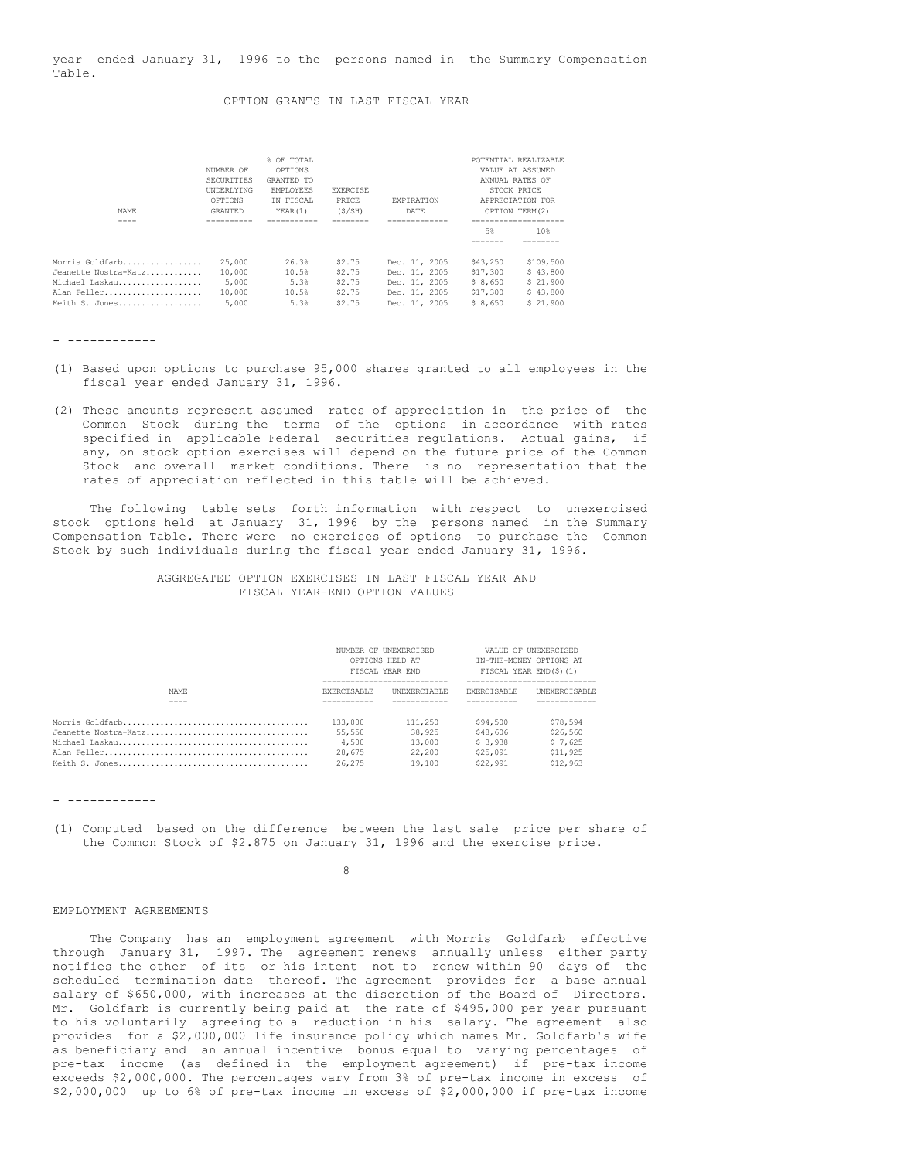year ended January 31, 1996 to the persons named in the Summary Compensation Table.

### OPTION GRANTS IN LAST FISCAL YEAR

| NAME.                                                                                      | NUMBER OF<br>SECURITIES<br>UNDERLYING<br>OPTIONS<br>GRANTED | % OF TOTAL<br>OPTIONS<br>GRANTED TO<br>EMPLOYEES<br>IN FISCAL<br>YEAR(1) | <b>EXERCISE</b><br>PRICE<br>(S/SH)             | EXPIRATION<br>DATE                                                                | POTENTIAL REALIZABLE<br>VALUE AT ASSUMED<br>ANNUAL RATES OF<br>STOCK PRICE<br>APPRECIATION FOR<br>OPTION TERM(2) |                                                           |
|--------------------------------------------------------------------------------------------|-------------------------------------------------------------|--------------------------------------------------------------------------|------------------------------------------------|-----------------------------------------------------------------------------------|------------------------------------------------------------------------------------------------------------------|-----------------------------------------------------------|
|                                                                                            |                                                             |                                                                          |                                                |                                                                                   | 5%                                                                                                               | 10%                                                       |
| Morris Goldfarb<br>Jeanette Nostra-Katz<br>Michael Laskau<br>Alan Feller<br>Keith S. Jones | 25,000<br>10,000<br>5,000<br>10,000<br>5,000                | 26.3%<br>10.5%<br>5.3%<br>10.5%<br>5.3%                                  | \$2.75<br>\$2.75<br>\$2.75<br>\$2.75<br>\$2.75 | Dec. 11, 2005<br>Dec. 11, 2005<br>Dec. 11, 2005<br>Dec. 11, 2005<br>Dec. 11, 2005 | \$43,250<br>\$17,300<br>\$8,650<br>\$17,300<br>\$8,650                                                           | \$109,500<br>\$43,800<br>\$21,900<br>\$43,800<br>\$21,900 |

- ------------

- (1) Based upon options to purchase 95,000 shares granted to all employees in the fiscal year ended January 31, 1996.
- (2) These amounts represent assumed rates of appreciation in the price of the Common Stock during the terms of the options in accordance with rates specified in applicable Federal securities regulations. Actual gains, if any, on stock option exercises will depend on the future price of the Common Stock and overall market conditions. There is no representation that the rates of appreciation reflected in this table will be achieved.

The following table sets forth information with respect to unexercised stock options held at January 31, 1996 by the persons named in the Summary Compensation Table. There were no exercises of options to purchase the Common Stock by such individuals during the fiscal year ended January 31, 1996.

## AGGREGATED OPTION EXERCISES IN LAST FISCAL YEAR AND FISCAL YEAR-END OPTION VALUES

|                      | NUMBER OF UNEXERCISED<br>OPTIONS HELD AT<br>FISCAL YEAR END |                     | VALUE OF UNEXERCISED<br>IN-THE-MONEY OPTIONS AT<br>FISCAL YEAR END(\$)(1) |                      |
|----------------------|-------------------------------------------------------------|---------------------|---------------------------------------------------------------------------|----------------------|
| NAME.                | <b>EXERCISABLE</b>                                          | <b>INEXERCTABLE</b> | <b>EXERCISABLE</b>                                                        | <b>INEXERCISABLE</b> |
|                      |                                                             |                     |                                                                           |                      |
|                      | 133,000                                                     | 111,250             | \$94,500                                                                  | \$78,594             |
| Jeanette Nostra-Katz | 55,550                                                      | 38,925              | \$48,606                                                                  | \$26,560             |
|                      | 4,500                                                       | 13,000              | \$3,938                                                                   | \$7.625              |
|                      | 28,675                                                      | 22,200              | \$25,091                                                                  | \$11,925             |
|                      | 26,275                                                      | 19,100              | \$22,991                                                                  | \$12,963             |

- ------------

(1) Computed based on the difference between the last sale price per share of the Common Stock of \$2.875 on January 31, 1996 and the exercise price.

8

### EMPLOYMENT AGREEMENTS

The Company has an employment agreement with Morris Goldfarb effective through January 31, 1997. The agreement renews annually unless either party notifies the other of its or his intent not to renew within 90 days of the scheduled termination date thereof. The agreement provides for a base annual salary of \$650,000, with increases at the discretion of the Board of Directors. Mr. Goldfarb is currently being paid at the rate of \$495,000 per year pursuant to his voluntarily agreeing to a reduction in his salary. The agreement also provides for a \$2,000,000 life insurance policy which names Mr. Goldfarb's wife as beneficiary and an annual incentive bonus equal to varying percentages of pre-tax income (as defined in the employment agreement) if pre-tax income exceeds \$2,000,000. The percentages vary from 3% of pre-tax income in excess of \$2,000,000 up to 6% of pre-tax income in excess of \$2,000,000 if pre-tax income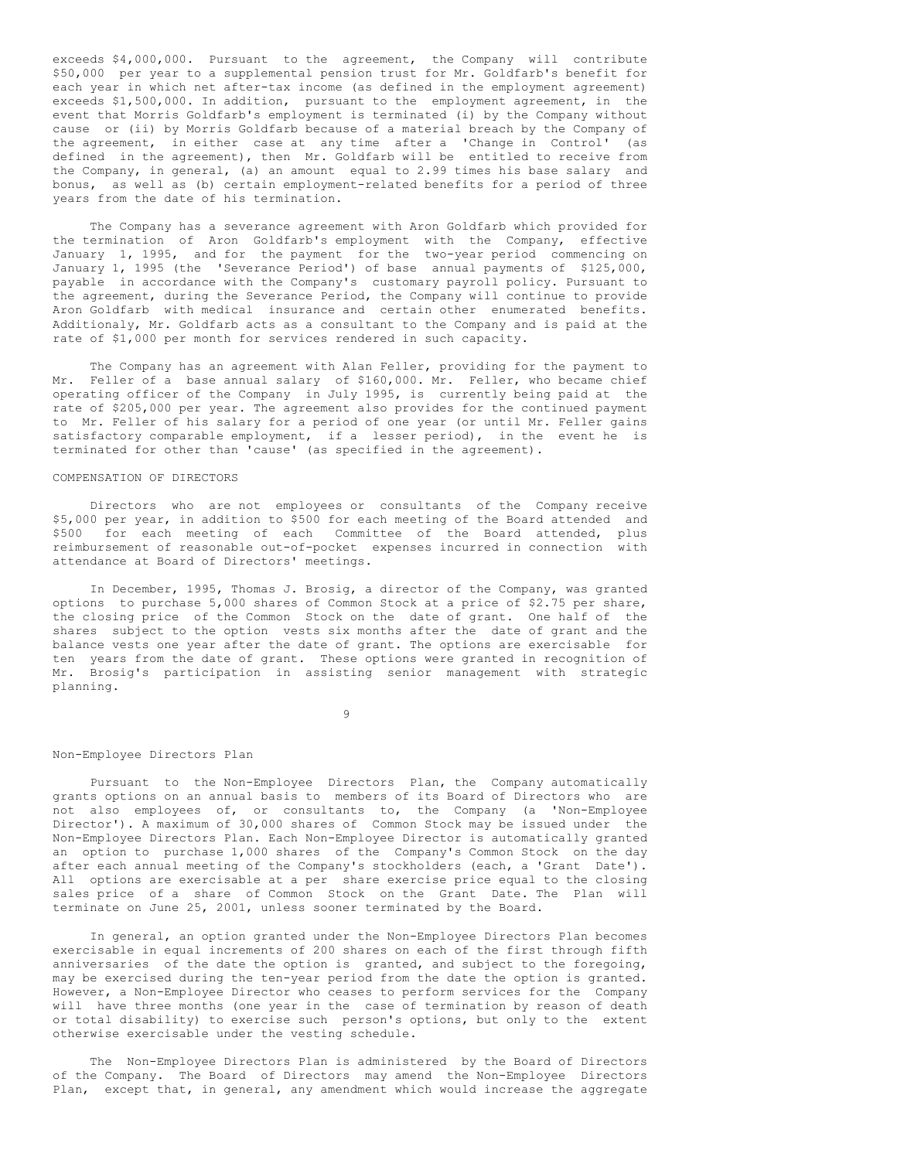exceeds \$4,000,000. Pursuant to the agreement, the Company will contribute \$50,000 per year to a supplemental pension trust for Mr. Goldfarb's benefit for each year in which net after-tax income (as defined in the employment agreement) exceeds \$1,500,000. In addition, pursuant to the employment agreement, in the event that Morris Goldfarb's employment is terminated (i) by the Company without cause or (ii) by Morris Goldfarb because of a material breach by the Company of the agreement, in either case at any time after a 'Change in Control' (as defined in the agreement), then Mr. Goldfarb will be entitled to receive from the Company, in general, (a) an amount equal to 2.99 times his base salary and bonus, as well as (b) certain employment-related benefits for a period of three years from the date of his termination.

The Company has a severance agreement with Aron Goldfarb which provided for the termination of Aron Goldfarb's employment with the Company, effective January 1, 1995, and for the payment for the two-year period commencing on January 1, 1995 (the 'Severance Period') of base annual payments of \$125,000, payable in accordance with the Company's customary payroll policy. Pursuant to the agreement, during the Severance Period, the Company will continue to provide Aron Goldfarb with medical insurance and certain other enumerated benefits. Additionaly, Mr. Goldfarb acts as a consultant to the Company and is paid at the rate of \$1,000 per month for services rendered in such capacity.

The Company has an agreement with Alan Feller, providing for the payment to Mr. Feller of a base annual salary of \$160,000. Mr. Feller, who became chief operating officer of the Company in July 1995, is currently being paid at the rate of \$205,000 per year. The agreement also provides for the continued payment to Mr. Feller of his salary for a period of one year (or until Mr. Feller gains satisfactory comparable employment, if a lesser period), in the event he is terminated for other than 'cause' (as specified in the agreement).

## COMPENSATION OF DIRECTORS

Directors who are not employees or consultants of the Company receive \$5,000 per year, in addition to \$500 for each meeting of the Board attended and \$500 for each meeting of each Committee of the Board attended, plus reimbursement of reasonable out-of-pocket expenses incurred in connection with attendance at Board of Directors' meetings.

In December, 1995, Thomas J. Brosig, a director of the Company, was granted options to purchase 5,000 shares of Common Stock at a price of \$2.75 per share, the closing price of the Common Stock on the date of grant. One half of the shares subject to the option vests six months after the date of grant and the balance vests one year after the date of grant. The options are exercisable for ten years from the date of grant. These options were granted in recognition of Mr. Brosig's participation in assisting senior management with strategic planning.

 $\alpha$ 

### Non-Employee Directors Plan

Pursuant to the Non-Employee Directors Plan, the Company automatically grants options on an annual basis to members of its Board of Directors who are not also employees of, or consultants to, the Company (a 'Non-Employee Director'). A maximum of 30,000 shares of Common Stock may be issued under the Non-Employee Directors Plan. Each Non-Employee Director is automatically granted an option to purchase 1,000 shares of the Company's Common Stock on the day after each annual meeting of the Company's stockholders (each, a 'Grant Date'). All options are exercisable at a per share exercise price equal to the closing sales price of a share of Common Stock on the Grant Date. The Plan will terminate on June 25, 2001, unless sooner terminated by the Board.

In general, an option granted under the Non-Employee Directors Plan becomes exercisable in equal increments of 200 shares on each of the first through fifth anniversaries of the date the option is granted, and subject to the foregoing, may be exercised during the ten-year period from the date the option is granted. However, a Non-Employee Director who ceases to perform services for the Company will have three months (one year in the case of termination by reason of death or total disability) to exercise such person's options, but only to the extent otherwise exercisable under the vesting schedule.

The Non-Employee Directors Plan is administered by the Board of Directors of the Company. The Board of Directors may amend the Non-Employee Directors Plan, except that, in general, any amendment which would increase the aggregate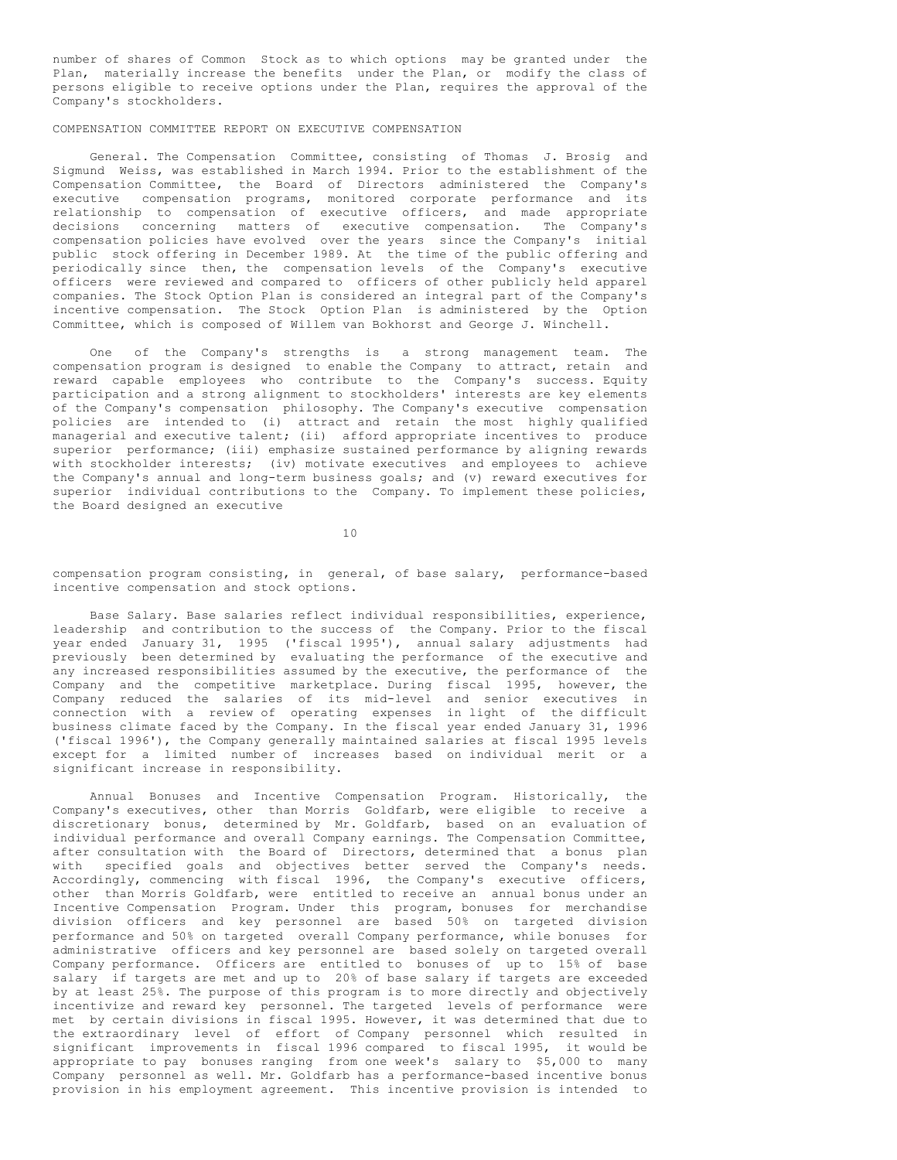number of shares of Common Stock as to which options may be granted under the Plan, materially increase the benefits under the Plan, or modify the class of persons eligible to receive options under the Plan, requires the approval of the Company's stockholders.

# COMPENSATION COMMITTEE REPORT ON EXECUTIVE COMPENSATION

General. The Compensation Committee, consisting of Thomas J. Brosig and Sigmund Weiss, was established in March 1994. Prior to the establishment of the Compensation Committee, the Board of Directors administered the Company's executive compensation programs, monitored corporate performance and its relationship to compensation of executive officers, and made appropriate decisions concerning matters of executive compensation. The Company's compensation policies have evolved over the years since the Company's initial public stock offering in December 1989. At the time of the public offering and periodically since then, the compensation levels of the Company's executive officers were reviewed and compared to officers of other publicly held apparel companies. The Stock Option Plan is considered an integral part of the Company's incentive compensation. The Stock Option Plan is administered by the Option Committee, which is composed of Willem van Bokhorst and George J. Winchell.

One of the Company's strengths is a strong management team. The compensation program is designed to enable the Company to attract, retain and reward capable employees who contribute to the Company's success. Equity participation and a strong alignment to stockholders' interests are key elements of the Company's compensation philosophy. The Company's executive compensation policies are intended to (i) attract and retain the most highly qualified managerial and executive talent; (ii) afford appropriate incentives to produce superior performance; (iii) emphasize sustained performance by aligning rewards with stockholder interests; (iv) motivate executives and employees to achieve the Company's annual and long-term business goals; and (v) reward executives for superior individual contributions to the Company. To implement these policies, the Board designed an executive

10

compensation program consisting, in general, of base salary, performance-based incentive compensation and stock options.

Base Salary. Base salaries reflect individual responsibilities, experience, leadership and contribution to the success of the Company. Prior to the fiscal year ended January 31, 1995 ('fiscal 1995'), annual salary adjustments had previously been determined by evaluating the performance of the executive and any increased responsibilities assumed by the executive, the performance of the Company and the competitive marketplace. During fiscal 1995, however, the Company reduced the salaries of its mid-level and senior executives in connection with a review of operating expenses in light of the difficult business climate faced by the Company. In the fiscal year ended January 31, 1996 ('fiscal 1996'), the Company generally maintained salaries at fiscal 1995 levels except for a limited number of increases based on individual merit or a significant increase in responsibility.

Annual Bonuses and Incentive Compensation Program. Historically, the Company's executives, other than Morris Goldfarb, were eligible to receive a discretionary bonus, determined by Mr. Goldfarb, based on an evaluation of individual performance and overall Company earnings. The Compensation Committee, after consultation with the Board of Directors, determined that a bonus plan with specified goals and objectives better served the Company's needs. Accordingly, commencing with fiscal 1996, the Company's executive officers, other than Morris Goldfarb, were entitled to receive an annual bonus under an Incentive Compensation Program. Under this program, bonuses for merchandise division officers and key personnel are based 50% on targeted division performance and 50% on targeted overall Company performance, while bonuses for administrative officers and key personnel are based solely on targeted overall Company performance. Officers are entitled to bonuses of up to 15% of base salary if targets are met and up to 20% of base salary if targets are exceeded by at least 25%. The purpose of this program is to more directly and objectively incentivize and reward key personnel. The targeted levels of performance were met by certain divisions in fiscal 1995. However, it was determined that due to the extraordinary level of effort of Company personnel which resulted in significant improvements in fiscal 1996 compared to fiscal 1995, it would be appropriate to pay bonuses ranging from one week's salary to \$5,000 to many Company personnel as well. Mr. Goldfarb has a performance-based incentive bonus provision in his employment agreement. This incentive provision is intended to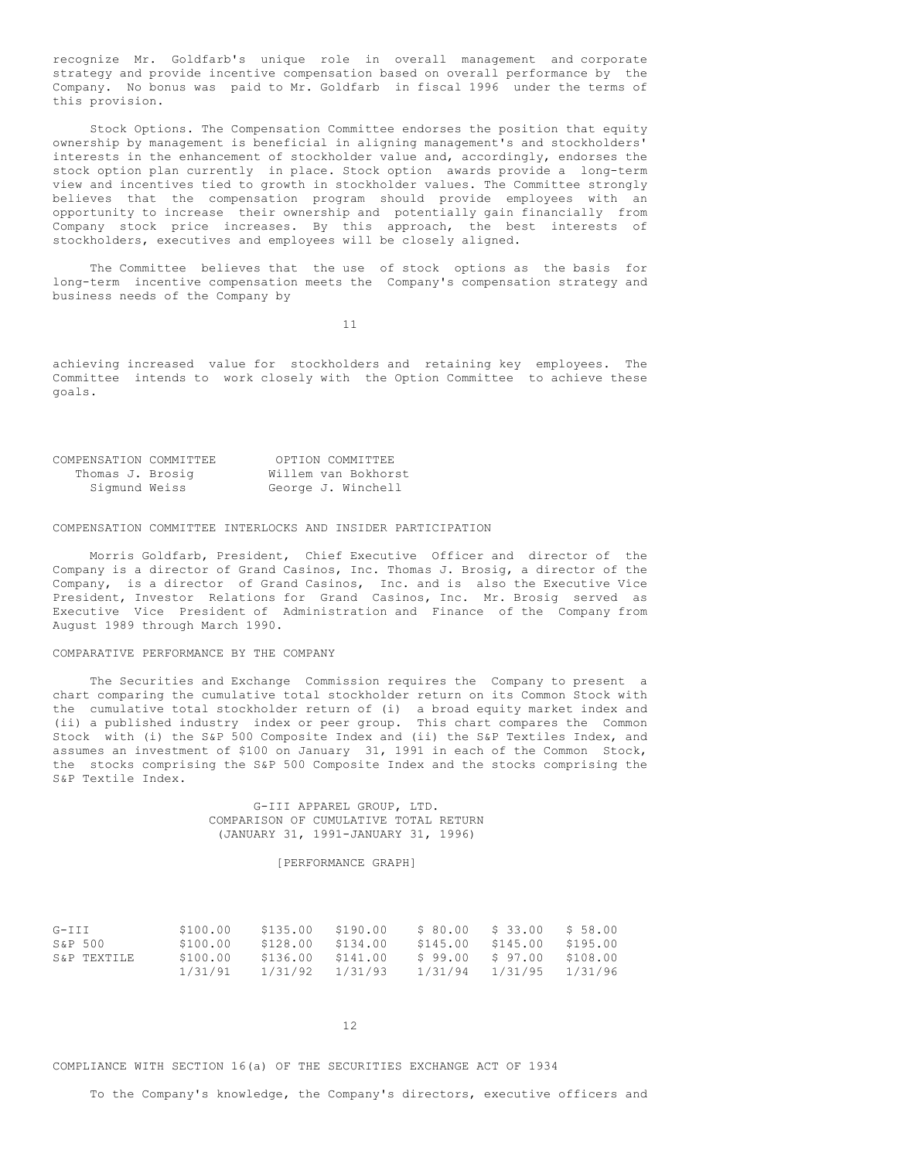recognize Mr. Goldfarb's unique role in overall management and corporate strategy and provide incentive compensation based on overall performance by the Company. No bonus was paid to Mr. Goldfarb in fiscal 1996 under the terms of this provision.

Stock Options. The Compensation Committee endorses the position that equity ownership by management is beneficial in aligning management's and stockholders' interests in the enhancement of stockholder value and, accordingly, endorses the stock option plan currently in place. Stock option awards provide a long-term view and incentives tied to growth in stockholder values. The Committee strongly believes that the compensation program should provide employees with an opportunity to increase their ownership and potentially gain financially from Company stock price increases. By this approach, the best interests of stockholders, executives and employees will be closely aligned.

The Committee believes that the use of stock options as the basis for long-term incentive compensation meets the Company's compensation strategy and business needs of the Company by

11

achieving increased value for stockholders and retaining key employees. The Committee intends to work closely with the Option Committee to achieve these goals.

| COMPENSATION COMMITTEE | OPTION COMMITTEE    |
|------------------------|---------------------|
| Thomas J. Brosig       | Willem van Bokhorst |
| Sigmund Weiss          | George J. Winchell  |

### COMPENSATION COMMITTEE INTERLOCKS AND INSIDER PARTICIPATION

Morris Goldfarb, President, Chief Executive Officer and director of the Company is a director of Grand Casinos, Inc. Thomas J. Brosig, a director of the Company, is a director of Grand Casinos, Inc. and is also the Executive Vice President, Investor Relations for Grand Casinos, Inc. Mr. Brosig served as Executive Vice President of Administration and Finance of the Company from August 1989 through March 1990.

### COMPARATIVE PERFORMANCE BY THE COMPANY

The Securities and Exchange Commission requires the Company to present a chart comparing the cumulative total stockholder return on its Common Stock with the cumulative total stockholder return of (i) a broad equity market index and (ii) a published industry index or peer group. This chart compares the Common Stock with (i) the S&P 500 Composite Index and (ii) the S&P Textiles Index, and assumes an investment of \$100 on January 31, 1991 in each of the Common Stock, the stocks comprising the S&P 500 Composite Index and the stocks comprising the S&P Textile Index.

## G-III APPAREL GROUP, LTD. COMPARISON OF CUMULATIVE TOTAL RETURN (JANUARY 31, 1991-JANUARY 31, 1996)

## [PERFORMANCE GRAPH]

| $G-TTT$     | \$100.00 | \$135.00 | \$190.00          | \$ 80.00 | \$ 33.00 | \$ 58.00 |
|-------------|----------|----------|-------------------|----------|----------|----------|
| S&P 500     | \$100.00 | \$128.00 | \$134.00          | \$145.00 | \$145.00 | \$195.00 |
| S&P TEXTILE | \$100.00 |          | \$136.00 \$141.00 | \$ 99.00 | \$97.00  | \$108.00 |
|             | 1/31/91  | 1/31/92  | 1/31/93           | 1/31/94  | 1/31/95  | 1/31/96  |

12

COMPLIANCE WITH SECTION 16(a) OF THE SECURITIES EXCHANGE ACT OF 1934

To the Company's knowledge, the Company's directors, executive officers and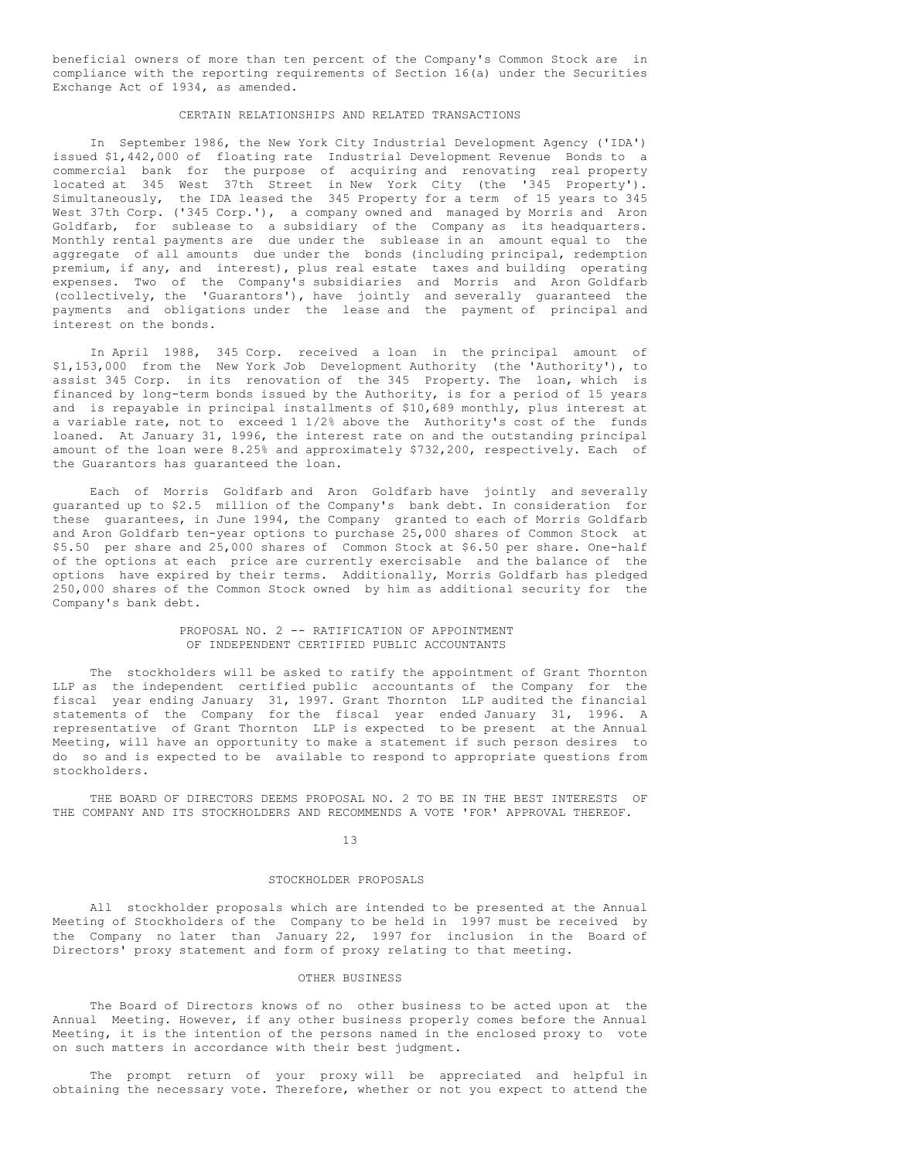beneficial owners of more than ten percent of the Company's Common Stock are in compliance with the reporting requirements of Section 16(a) under the Securities Exchange Act of 1934, as amended.

### CERTAIN RELATIONSHIPS AND RELATED TRANSACTIONS

In September 1986, the New York City Industrial Development Agency ('IDA') issued \$1,442,000 of floating rate Industrial Development Revenue Bonds to a commercial bank for the purpose of acquiring and renovating real property located at 345 West 37th Street in New York City (the '345 Property'). Simultaneously, the IDA leased the 345 Property for a term of 15 years to 345 West 37th Corp. ('345 Corp.'), a company owned and managed by Morris and Aron Goldfarb, for sublease to a subsidiary of the Company as its headquarters. Monthly rental payments are due under the sublease in an amount equal to the aggregate of all amounts due under the bonds (including principal, redemption premium, if any, and interest), plus real estate taxes and building operating expenses. Two of the Company's subsidiaries and Morris and Aron Goldfarb (collectively, the 'Guarantors'), have jointly and severally guaranteed the payments and obligations under the lease and the payment of principal and interest on the bonds.

In April 1988, 345 Corp. received a loan in the principal amount of \$1,153,000 from the New York Job Development Authority (the 'Authority'), to assist 345 Corp. in its renovation of the 345 Property. The loan, which is financed by long-term bonds issued by the Authority, is for a period of 15 years and is repayable in principal installments of \$10,689 monthly, plus interest at a variable rate, not to exceed 1 1/2% above the Authority's cost of the funds loaned. At January 31, 1996, the interest rate on and the outstanding principal amount of the loan were 8.25% and approximately \$732,200, respectively. Each of the Guarantors has guaranteed the loan.

Each of Morris Goldfarb and Aron Goldfarb have jointly and severally guaranted up to \$2.5 million of the Company's bank debt. In consideration for these guarantees, in June 1994, the Company granted to each of Morris Goldfarb and Aron Goldfarb ten-year options to purchase 25,000 shares of Common Stock at \$5.50 per share and 25,000 shares of Common Stock at \$6.50 per share. One-half of the options at each price are currently exercisable and the balance of the options have expired by their terms. Additionally, Morris Goldfarb has pledged 250,000 shares of the Common Stock owned by him as additional security for the Company's bank debt.

## PROPOSAL NO. 2 -- RATIFICATION OF APPOINTMENT OF INDEPENDENT CERTIFIED PUBLIC ACCOUNTANTS

The stockholders will be asked to ratify the appointment of Grant Thornton LLP as the independent certified public accountants of the Company for the fiscal year ending January 31, 1997. Grant Thornton LLP audited the financial statements of the Company for the fiscal year ended January 31, 1996. A representative of Grant Thornton LLP is expected to be present at the Annual Meeting, will have an opportunity to make a statement if such person desires to do so and is expected to be available to respond to appropriate questions from stockholders.

THE BOARD OF DIRECTORS DEEMS PROPOSAL NO. 2 TO BE IN THE BEST INTERESTS OF THE COMPANY AND ITS STOCKHOLDERS AND RECOMMENDS A VOTE 'FOR' APPROVAL THEREOF.

13

### STOCKHOLDER PROPOSALS

All stockholder proposals which are intended to be presented at the Annual Meeting of Stockholders of the Company to be held in 1997 must be received by the Company no later than January 22, 1997 for inclusion in the Board of Directors' proxy statement and form of proxy relating to that meeting.

#### OTHER BUSINESS

The Board of Directors knows of no other business to be acted upon at the Annual Meeting. However, if any other business properly comes before the Annual Meeting, it is the intention of the persons named in the enclosed proxy to vote on such matters in accordance with their best judgment.

The prompt return of your proxy will be appreciated and helpful in obtaining the necessary vote. Therefore, whether or not you expect to attend the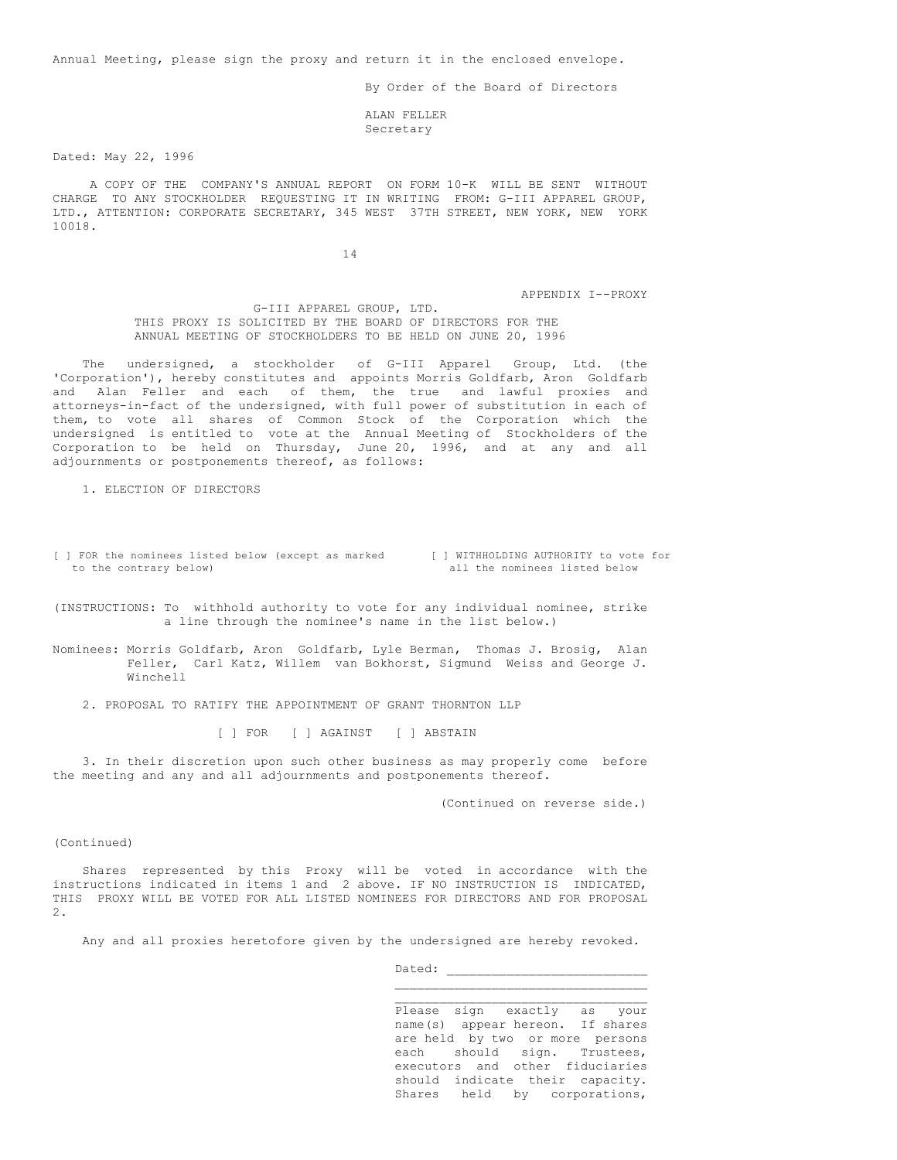Annual Meeting, please sign the proxy and return it in the enclosed envelope.

By Order of the Board of Directors

ALAN FELLER Secretary

Dated: May 22, 1996

A COPY OF THE COMPANY'S ANNUAL REPORT ON FORM 10-K WILL BE SENT WITHOUT CHARGE TO ANY STOCKHOLDER REQUESTING IT IN WRITING FROM: G-III APPAREL GROUP, LTD., ATTENTION: CORPORATE SECRETARY, 345 WEST 37TH STREET, NEW YORK, NEW YORK 10018.

14

APPENDIX I--PROXY

G-III APPAREL GROUP, LTD. THIS PROXY IS SOLICITED BY THE BOARD OF DIRECTORS FOR THE ANNUAL MEETING OF STOCKHOLDERS TO BE HELD ON JUNE 20, 1996

The undersigned, a stockholder of G-III Apparel Group, Ltd. (the 'Corporation'), hereby constitutes and appoints Morris Goldfarb, Aron Goldfarb and Alan Feller and each of them, the true and lawful proxies and attorneys-in-fact of the undersigned, with full power of substitution in each of them, to vote all shares of Common Stock of the Corporation which the undersigned is entitled to vote at the Annual Meeting of Stockholders of the Corporation to be held on Thursday, June 20, 1996, and at any and all adjournments or postponements thereof, as follows:

1. ELECTION OF DIRECTORS

[ ] FOR the nominees listed below (except as marked [ ] WITHHOLDING AUTHORITY to vote for to the contrary below) all the nominees listed below

(INSTRUCTIONS: To withhold authority to vote for any individual nominee, strike a line through the nominee's name in the list below.)

Nominees: Morris Goldfarb, Aron Goldfarb, Lyle Berman, Thomas J. Brosig, Alan Feller, Carl Katz, Willem van Bokhorst, Sigmund Weiss and George J. Winchell

2. PROPOSAL TO RATIFY THE APPOINTMENT OF GRANT THORNTON LLP

[ ] FOR [ ] AGAINST [ ] ABSTAIN

3. In their discretion upon such other business as may properly come before the meeting and any and all adjournments and postponements thereof.

(Continued on reverse side.)

# (Continued)

Shares represented by this Proxy will be voted in accordance with the instructions indicated in items 1 and 2 above. IF NO INSTRUCTION IS INDICATED, THIS PROXY WILL BE VOTED FOR ALL LISTED NOMINEES FOR DIRECTORS AND FOR PROPOSAL 2.

Any and all proxies heretofore given by the undersigned are hereby revoked.

Dated:

 $\mathcal{L}_\text{max}$ Please sign exactly as your name(s) appear hereon. If shares are held by two or more persons each should sign. Trustees, executors and other fiduciaries should indicate their capacity. Shares held by corporations,

\_\_\_\_\_\_\_\_\_\_\_\_\_\_\_\_\_\_\_\_\_\_\_\_\_\_\_\_\_\_\_\_\_\_